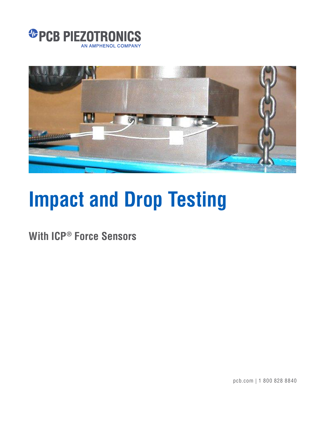



# **Impact and Drop Testing**

**With ICP® Force Sensors**

pcb.com | 1 800 828 8840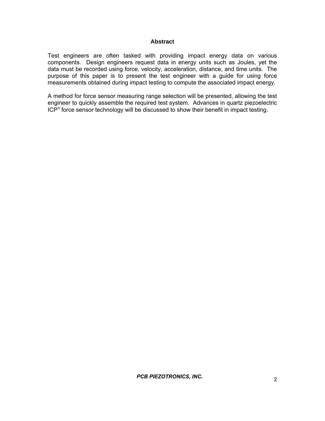#### **Abstract**

Test engineers are often tasked with providing impact energy data on various components. Design engineers request data in energy units such as Joules, yet the data must be recorded using force, velocity, acceleration, distance, and time units. The purpose of this paper is to present the test engineer with a guide for using force measurements obtained during impact testing to compute the associated impact energy.

A method for force sensor measuring range selection will be presented, allowing the test engineer to quickly assemble the required test system. Advances in quartz piezoelectric  $ICP<sup>®</sup>$  force sensor technology will be discussed to show their benefit in impact testing.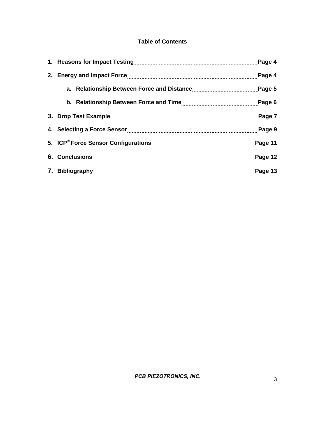# **Table of Contents**

|  | Page 4  |
|--|---------|
|  | Page 4  |
|  | Page 5  |
|  | Page 6  |
|  | Page 7  |
|  | Page 9  |
|  | Page 11 |
|  | Page 12 |
|  | Page 13 |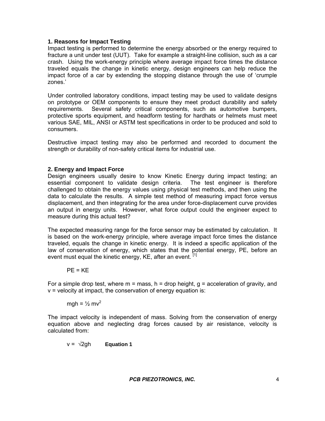## **1. Reasons for Impact Testing**

Impact testing is performed to determine the energy absorbed or the energy required to fracture a unit under test (UUT). Take for example a straight-line collision, such as a car crash. Using the work-energy principle where average impact force times the distance traveled equals the change in kinetic energy, design engineers can help reduce the impact force of a car by extending the stopping distance through the use of 'crumple zones.'

Under controlled laboratory conditions, impact testing may be used to validate designs on prototype or OEM components to ensure they meet product durability and safety requirements. Several safety critical components, such as automotive bumpers, protective sports equipment, and headform testing for hardhats or helmets must meet various SAE, MIL, ANSI or ASTM test specifications in order to be produced and sold to consumers.

Destructive impact testing may also be performed and recorded to document the strength or durability of non-safety critical items for industrial use.

## **2. Energy and Impact Force**

Design engineers usually desire to know Kinetic Energy during impact testing; an essential component to validate design criteria. The test engineer is therefore challenged to obtain the energy values using physical test methods, and then using the data to calculate the results. A simple test method of measuring impact force versus displacement, and then integrating for the area under force-displacement curve provides an output in energy units. However, what force output could the engineer expect to measure during this actual test?

The expected measuring range for the force sensor may be estimated by calculation. It is based on the work-energy principle, where average impact force times the distance traveled, equals the change in kinetic energy. It is indeed a specific application of the law of conservation of energy, which states that the potential energy, PE, before an event must equal the kinetic energy, KE, after an event.  $^{[1]}$ 

$$
PE = KE
$$

For a simple drop test, where  $m =$  mass,  $h =$  drop height,  $g =$  acceleration of gravity, and v = velocity at impact, the conservation of energy equation is:

mgh =  $\frac{1}{2}$  mv<sup>2</sup>

The impact velocity is independent of mass. Solving from the conservation of energy equation above and neglecting drag forces caused by air resistance, velocity is calculated from:

$$
v = \sqrt{2gh} \qquad \text{Equation 1}
$$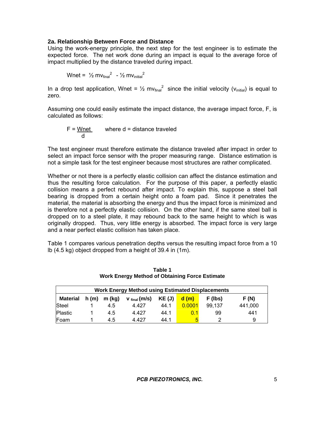### **2a. Relationship Between Force and Distance**

Using the work-energy principle, the next step for the test engineer is to estimate the expected force. The net work done during an impact is equal to the average force of impact multiplied by the distance traveled during impact.

$$
Wnet = \frac{1}{2} m v_{final}^2 - \frac{1}{2} m v_{initial}^2
$$

In a drop test application, Wnet =  $\frac{1}{2}$  mv<sub>final</sub><sup>2</sup> since the initial velocity (v<sub>initial</sub>) is equal to zero.

Assuming one could easily estimate the impact distance, the average impact force, F, is calculated as follows:

$$
F = \frac{Wnet}{d}
$$
 where  $d$  = distance traveled

The test engineer must therefore estimate the distance traveled after impact in order to select an impact force sensor with the proper measuring range. Distance estimation is not a simple task for the test engineer because most structures are rather complicated.

Whether or not there is a perfectly elastic collision can affect the distance estimation and thus the resulting force calculation. For the purpose of this paper, a perfectly elastic collision means a perfect rebound after impact. To explain this, suppose a steel ball bearing is dropped from a certain height onto a foam pad. Since it penetrates the material, the material is absorbing the energy and thus the impact force is minimized and is therefore not a perfectly elastic collision. On the other hand, if the same steel ball is dropped on to a steel plate, it may rebound back to the same height to which is was originally dropped. Thus, very little energy is absorbed. The impact force is very large and a near perfect elastic collision has taken place.

Table 1 compares various penetration depths versus the resulting impact force from a 10 lb (4.5 kg) object dropped from a height of 39.4 in (1m).

| <b>Work Energy Method using Estimated Displacements</b> |      |        |                  |        |        |         |         |  |
|---------------------------------------------------------|------|--------|------------------|--------|--------|---------|---------|--|
| <b>Material</b>                                         | h(m) | m (kg) | $V_{final}(m/s)$ | KE (J) | d(m)   | F (lbs) | F(N)    |  |
| Steel                                                   |      | 4.5    | 4.427            | 44.1   | 0.0001 | 99.137  | 441,000 |  |
| <b>Plastic</b>                                          |      | 4.5    | 4.427            | 44.1   |        | 99      | 441     |  |
| Foam                                                    |      | 4.5    | 4.427            | 44.1   | Б      |         | 9       |  |

**Table 1 Work Energy Method of Obtaining Force Estimate**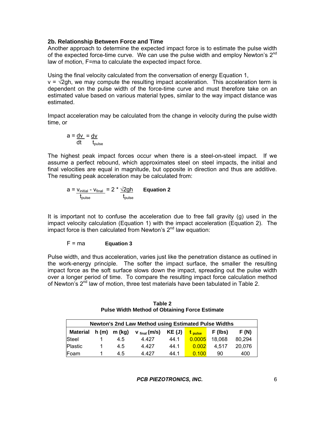## **2b. Relationship Between Force and Time**

Another approach to determine the expected impact force is to estimate the pulse width of the expected force-time curve. We can use the pulse width and employ Newton's  $2^{nd}$ law of motion, F=ma to calculate the expected impact force.

Using the final velocity calculated from the conversation of energy Equation 1,  $v = \sqrt{2gh}$ , we may compute the resulting impact acceleration. This acceleration term is dependent on the pulse width of the force-time curve and must therefore take on an estimated value based on various material types, similar to the way impact distance was estimated.

Impact acceleration may be calculated from the change in velocity during the pulse width time, or

$$
a = \frac{dv}{dt} = \frac{dv}{t_{pulse}}
$$

The highest peak impact forces occur when there is a steel-on-steel impact. If we assume a perfect rebound, which approximates steel on steel impacts, the initial and final velocities are equal in magnitude, but opposite in direction and thus are additive. The resulting peak acceleration may be calculated from:

$$
a = \frac{v_{\text{initial}} - v_{\text{final}}}{t_{\text{pulse}}} = 2 \cdot \frac{\sqrt{2gh}}{t_{\text{pulse}}}
$$
 Equation 2

It is important not to confuse the acceleration due to free fall gravity (g) used in the impact velocity calculation (Equation 1) with the impact acceleration (Equation 2). The impact force is then calculated from Newton's 2<sup>nd</sup> law equation:

## F = ma **Equation 3**

Pulse width, and thus acceleration, varies just like the penetration distance as outlined in the work-energy principle. The softer the impact surface, the smaller the resulting impact force as the soft surface slows down the impact, spreading out the pulse width over a longer period of time. To compare the resulting impact force calculation method of Newton's 2<sup>nd</sup> law of motion, three test materials have been tabulated in Table 2.

| Newton's 2nd Law Method using Estimated Pulse Widths |  |               |                          |       |                    |         |        |
|------------------------------------------------------|--|---------------|--------------------------|-------|--------------------|---------|--------|
| <b>Material</b>                                      |  | $h(m)$ m (kg) | v <sub>final</sub> (m/s) | KE(J) | t <sub>pulse</sub> | F (lbs) | F (N)  |
| Steel                                                |  | 4.5           | 4.427                    | 44.1  | 0.0005             | 18,068  | 80.294 |
| Plastic                                              |  | 4.5           | 4.427                    | 44.1  | 0.002              | 4.517   | 20.076 |
| Foam                                                 |  | 4.5           | 4.427                    | 44.1  | 0.100              | 90      | 400    |

**Table 2 Pulse Width Method of Obtaining Force Estimate**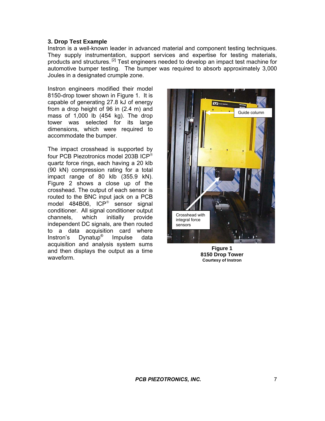#### **3. Drop Test Example**

Instron is a well-known leader in advanced material and component testing techniques. They supply instrumentation, support services and expertise for testing materials, products and structures. [2] Test engineers needed to develop an impact test machine for automotive bumper testing. The bumper was required to absorb approximately 3,000 Joules in a designated crumple zone.

Instron engineers modified their model 8150-drop tower shown in Figure 1. It is capable of generating 27.8 kJ of energy from a drop height of 96 in (2.4 m) and mass of 1,000 lb (454 kg). The drop tower was selected for its large dimensions, which were required to accommodate the bumper.

The impact crosshead is supported by four PCB Piezotronics model 203B ICP quartz force rings, each having a 20 klb (90 kN) compression rating for a total impact range of 80 klb (355.9 kN). Figure 2 shows a close up of the crosshead. The output of each sensor is routed to the BNC input jack on a PCB model  $484B06$ , ICP<sup>®</sup> sensor signal conditioner. All signal conditioner output channels, which initially provide independent DC signals, are then routed to a data acquisition card where Instron's Dynatup® Impulse data acquisition and analysis system sums and then displays the output as a time waveform.



**Figure 1 8150 Drop Tower Courtesy of Instron**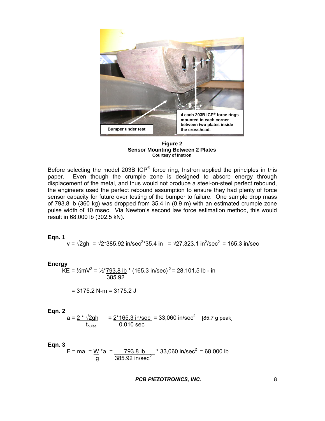

**Figure 2 Sensor Mounting Between 2 Plates Courtesy of Instron**

Before selecting the model 203B ICP<sup>®</sup> force ring, Instron applied the principles in this paper. Even though the crumple zone is designed to absorb energy through displacement of the metal, and thus would not produce a steel-on-steel perfect rebound, the engineers used the perfect rebound assumption to ensure they had plenty of force sensor capacity for future over testing of the bumper to failure. One sample drop mass of 793.8 lb (360 kg) was dropped from 35.4 in (0.9 m) with an estimated crumple zone pulse width of 10 msec. Via Newton's second law force estimation method, this would result in 68,000 lb (302.5 kN).

#### **Eqn. 1**

v =  $\sqrt{2gh}$  =  $\sqrt{2*}385.92$  in/sec<sup>2\*</sup>35.4 in =  $\sqrt{27,323.1}$  in<sup>2</sup>/sec<sup>2</sup> = 165.3 in/sec

#### **Energy**

 $\overline{\text{KE}} = \frac{1}{2} \text{mV}^2 = \frac{1}{2} \cdot \frac{793.8 \text{ lb}}{385.92} \cdot \text{(165.3 in/sec)}^2 = 28,101.5 \text{ lb} - \text{in}$ 

$$
= 3175.2 N-m = 3175.2 J
$$

$$
\mathsf{Eqn.}\ 2
$$

$$
a = \frac{2 \cdot \sqrt{2gh}}{t_{pulse}} = \frac{2 \cdot 165.3 \text{ in/sec}}{0.010 \text{ sec}} = 33,060 \text{ in/sec}^2 \quad [85.7 \text{ g peak}]
$$

#### **Eqn. 3**

$$
F = ma = \frac{W}{g} \cdot a = \frac{793.8 \text{ lb}}{385.92 \text{ in/sec}^2} \cdot 33,060 \text{ in/sec}^2 = 68,000 \text{ lb}
$$

**PCB PIEZOTRONICS, INC.**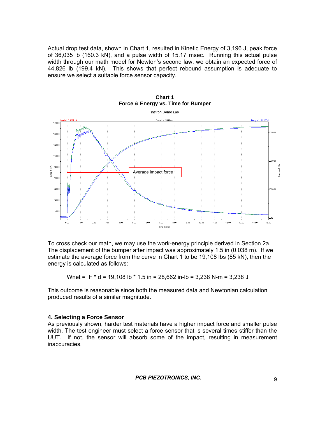Actual drop test data, shown in Chart 1, resulted in Kinetic Energy of 3,196 J, peak force of 36,035 lb (160.3 kN), and a pulse width of 15.17 msec. Running this actual pulse width through our math model for Newton's second law, we obtain an expected force of 44,826 lb (199.4 kN). This shows that perfect rebound assumption is adequate to ensure we select a suitable force sensor capacity.



**Chart 1 Force & Energy vs. Time for Bumper** 

To cross check our math, we may use the work-energy principle derived in Section 2a. The displacement of the bumper after impact was approximately 1.5 in (0.038 m). If we estimate the average force from the curve in Chart 1 to be 19,108 lbs (85 kN), then the energy is calculated as follows:

Wnet =  $F * d = 19,108 lb * 1.5 in = 28,662 in-lb = 3,238 N-m = 3,238 J$ 

This outcome is reasonable since both the measured data and Newtonian calculation produced results of a similar magnitude.

#### **4. Selecting a Force Sensor**

As previously shown, harder test materials have a higher impact force and smaller pulse width. The test engineer must select a force sensor that is several times stiffer than the UUT. If not, the sensor will absorb some of the impact, resulting in measurement inaccuracies.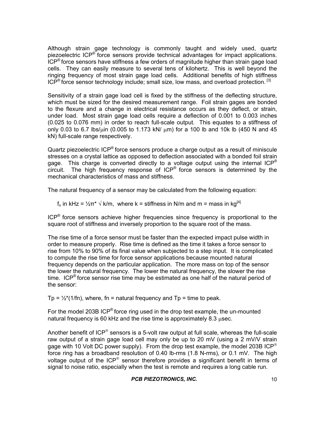Although strain gage technology is commonly taught and widely used, quartz piezoelectric ICP® force sensors provide technical advantages for impact applications.  $ICP<sup>®</sup>$  force sensors have stiffness a few orders of magnitude higher than strain gage load cells. They can easily measure to several tens of kilohertz. This is well beyond the ringing frequency of most strain gage load cells. Additional benefits of high stiffness  $ICP<sup>®</sup>$  force sensor technology include; small size, low mass, and overload protection.  $^{[3]}$ 

Sensitivity of a strain gage load cell is fixed by the stiffness of the deflecting structure, which must be sized for the desired measurement range. Foil strain gages are bonded to the flexure and a change in electrical resistance occurs as they deflect, or strain, under load. Most strain gage load cells require a deflection of 0.001 to 0.003 inches (0.025 to 0.076 mm) in order to reach full-scale output. This equates to a stiffness of only 0.03 to 6.7 lbs/ $\mu$ in (0.005 to 1.173 kN/ $\mu$ m) for a 100 lb and 10k lb (450 N and 45 kN) full-scale range respectively.

Quartz piezoelectric ICP® force sensors produce a charge output as a result of miniscule stresses on a crystal lattice as opposed to deflection associated with a bonded foil strain gage. This charge is converted directly to a voltage output using the internal  $ICP^{\otimes}$ circuit. The high frequency response of ICP® force sensors is determined by the mechanical characteristics of mass and stiffness.

The natural frequency of a sensor may be calculated from the following equation:

f<sub>n</sub> in kHz =  $\frac{1}{2}$ π<sup>\*</sup>  $\sqrt{k/m}$ , where k = stiffness in N/m and m = mass in kg<sup>[4]</sup>

 $ICP^{\otimes}$  force sensors achieve higher frequencies since frequency is proportional to the square root of stiffness and inversely proportion to the square root of the mass.

The rise time of a force sensor must be faster than the expected impact pulse width in order to measure properly. Rise time is defined as the time it takes a force sensor to rise from 10% to 90% of its final value when subjected to a step input. It is complicated to compute the rise time for force sensor applications because mounted natural frequency depends on the particular application. The more mass on top of the sensor the lower the natural frequency. The lower the natural frequency, the slower the rise time. ICP<sup>®</sup> force sensor rise time may be estimated as one half of the natural period of the sensor:

Tp =  $\frac{1}{2}$ \*(1/fn), where, fn = natural frequency and Tp = time to peak.

For the model 203B ICP® force ring used in the drop test example, the un-mounted natural frequency is 60 kHz and the rise time is approximately  $8.3$  usec.

Another benefit of  $ICP^{\circ}$  sensors is a 5-volt raw output at full scale, whereas the full-scale raw output of a strain gage load cell may only be up to 20 mV (using a 2 mV/V strain gage with 10 Volt DC power supply).From the drop test example, the model 203B ICP force ring has a broadband resolution of 0.40 lb-rms (1.8 N-rms), or 0.1 mV. The high voltage output of the  $ICP^*$  sensor therefore provides a significant benefit in terms of signal to noise ratio, especially when the test is remote and requires a long cable run.

 *PCB PIEZOTRONICS, INC. – FORCE/TORQUE DIVISION*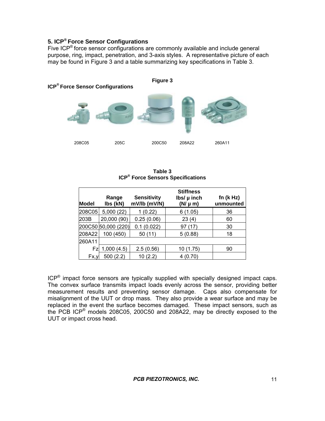## **5. ICP® Force Sensor Configurations**

Five ICP<sup>®</sup> force sensor configurations are commonly available and include general purpose, ring, impact, penetration, and 3-axis styles. A representative picture of each may be found in Figure 3 and a table summarizing key specifications in Table 3.



**Table 3 ICP® Force Sensors Specifications** 

| <b>Model</b> | Range<br>Ibs (kN)   | <b>Sensitivity</b><br>mV/lb (mV/N) | <b>Stiffness</b><br>$\mathsf{Ibs}/\mathsf{\mu}$ inch<br>$(N/\mu m)$ | fn $(k Hz)$<br>unmounted |
|--------------|---------------------|------------------------------------|---------------------------------------------------------------------|--------------------------|
| 208C05       | 5,000(22)           | (0.22)                             | 6(1.05)                                                             | 36                       |
| 203B         | 20,000 (90)         | 0.25(0.06)                         | 23(4)                                                               | 60                       |
|              | 200C50 50,000 (220) | 0.1(0.022)                         | 97 (17)                                                             | 30                       |
| 208A22       | 100 (450)           | 50(11)                             | 5(0.88)                                                             | 18                       |
| 260A11       |                     |                                    |                                                                     |                          |
| Fzl          | 1,000(4.5)          | 2.5(0.56)                          | 10 (1.75)                                                           | 90                       |
| Fx,y         | 500(2.2)            | 10(2.2)                            | 4 (0.70)                                                            |                          |

 $ICP<sup>®</sup>$  impact force sensors are typically supplied with specially designed impact caps. The convex surface transmits impact loads evenly across the sensor, providing better measurement results and preventing sensor damage. Caps also compensate for misalignment of the UUT or drop mass. They also provide a wear surface and may be replaced in the event the surface becomes damaged. These impact sensors, such as the PCB ICP® models 208C05, 200C50 and 208A22, may be directly exposed to the UUT or impact cross head.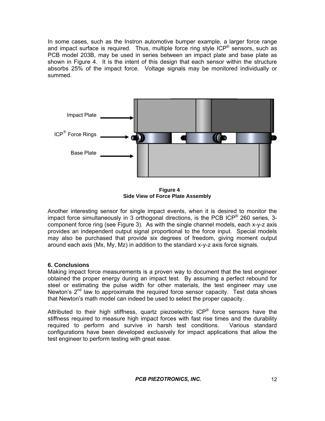In some cases, such as the Instron automotive bumper example, a larger force range and impact surface is required. Thus, multiple force ring style  $ICP^{\otimes}$  sensors, such as PCB model 203B, may be used in series between an impact plate and base plate as shown in Figure 4. It is the intent of this design that each sensor within the structure absorbs 25% of the impact force. Voltage signals may be monitored individually or summed.



**Figure 4 Side View of Force Plate Assembly**

Another interesting sensor for single impact events, when it is desired to monitor the impact force simultaneously in 3 orthogonal directions, is the PCB ICP<sup>®</sup> 260 series, 3component force ring (see Figure 3). As with the single channel models, each x-y-z axis provides an independent output signal proportional to the force input. Special models may also be purchased that provide six degrees of freedom, giving moment output around each axis (Mx, My, Mz) in addition to the standard x-y-z axis force signals.

## **6. Conclusions**

Making impact force measurements is a proven way to document that the test engineer obtained the proper energy during an impact test. By assuming a perfect rebound for steel or estimating the pulse width for other materials, the test engineer may use Newton's  $2^{nd}$  law to approximate the required force sensor capacity. Test data shows that Newton's math model can indeed be used to select the proper capacity.

Attributed to their high stiffness, quartz piezoelectric  $ICP^{\otimes}$  force sensors have the stiffness required to measure high impact forces with fast rise times and the durability required to perform and survive in harsh test conditions. Various standard configurations have been developed exclusively for impact applications that allow the test engineer to perform testing with great ease.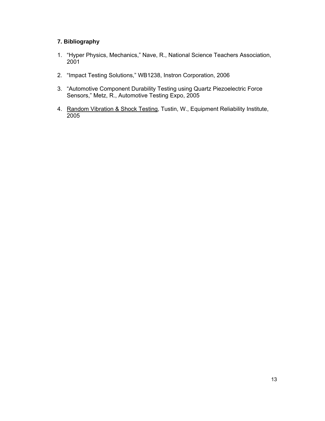## **7. Bibliography**

- 1. "Hyper Physics, Mechanics," Nave, R., National Science Teachers Association, 2001
- 2. "Impact Testing Solutions," WB1238, Instron Corporation, 2006
- 3. "Automotive Component Durability Testing using Quartz Piezoelectric Force Sensors," Metz, R., Automotive Testing Expo, 2005
- 4. Random Vibration & Shock Testing, Tustin, W., Equipment Reliability Institute, 2005